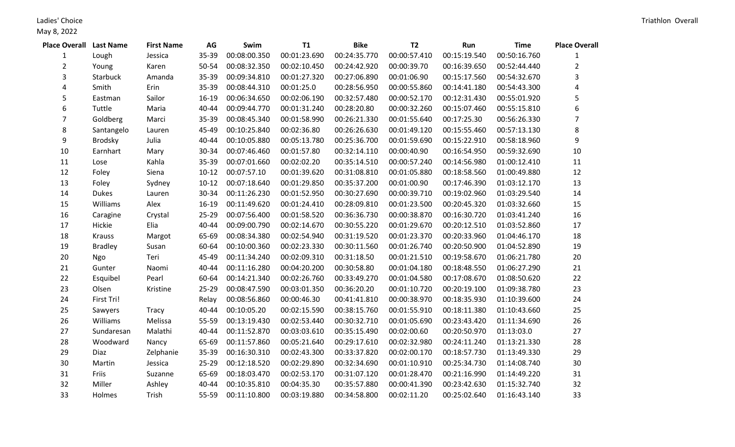Ladies' Choice

| <b>Place Overall Last Name</b> |                | <b>First Name</b> | AG        | Swim         | <b>T1</b>    | <b>Bike</b>  | <b>T2</b>    | Run          | <b>Time</b>  | <b>Place Overall</b> |
|--------------------------------|----------------|-------------------|-----------|--------------|--------------|--------------|--------------|--------------|--------------|----------------------|
| 1                              | Lough          | Jessica           | 35-39     | 00:08:00.350 | 00:01:23.690 | 00:24:35.770 | 00:00:57.410 | 00:15:19.540 | 00:50:16.760 | 1                    |
| $\overline{2}$                 | Young          | Karen             | 50-54     | 00:08:32.350 | 00:02:10.450 | 00:24:42.920 | 00:00:39.70  | 00:16:39.650 | 00:52:44.440 | $\overline{2}$       |
| 3                              | Starbuck       | Amanda            | 35-39     | 00:09:34.810 | 00:01:27.320 | 00:27:06.890 | 00:01:06.90  | 00:15:17.560 | 00:54:32.670 | 3                    |
| 4                              | Smith          | Erin              | 35-39     | 00:08:44.310 | 00:01:25.0   | 00:28:56.950 | 00:00:55.860 | 00:14:41.180 | 00:54:43.300 | 4                    |
| 5                              | Eastman        | Sailor            | $16-19$   | 00:06:34.650 | 00:02:06.190 | 00:32:57.480 | 00:00:52.170 | 00:12:31.430 | 00:55:01.920 | 5                    |
| 6                              | Tuttle         | Maria             | 40-44     | 00:09:44.770 | 00:01:31.240 | 00:28:20.80  | 00:00:32.260 | 00:15:07.460 | 00:55:15.810 | 6                    |
| 7                              | Goldberg       | Marci             | $35 - 39$ | 00:08:45.340 | 00:01:58.990 | 00:26:21.330 | 00:01:55.640 | 00:17:25.30  | 00:56:26.330 | $\overline{7}$       |
| 8                              | Santangelo     | Lauren            | 45-49     | 00:10:25.840 | 00:02:36.80  | 00:26:26.630 | 00:01:49.120 | 00:15:55.460 | 00:57:13.130 | 8                    |
| 9                              | Brodsky        | Julia             | 40-44     | 00:10:05.880 | 00:05:13.780 | 00:25:36.700 | 00:01:59.690 | 00:15:22.910 | 00:58:18.960 | 9                    |
| 10                             | Earnhart       | Mary              | 30-34     | 00:07:46.460 | 00:01:57.80  | 00:32:14.110 | 00:00:40.90  | 00:16:54.950 | 00:59:32.690 | $10\,$               |
| 11                             | Lose           | Kahla             | 35-39     | 00:07:01.660 | 00:02:02.20  | 00:35:14.510 | 00:00:57.240 | 00:14:56.980 | 01:00:12.410 | $11\,$               |
| 12                             | Foley          | Siena             | $10-12$   | 00:07:57.10  | 00:01:39.620 | 00:31:08.810 | 00:01:05.880 | 00:18:58.560 | 01:00:49.880 | 12                   |
| 13                             | Foley          | Sydney            | $10-12$   | 00:07:18.640 | 00:01:29.850 | 00:35:37.200 | 00:01:00.90  | 00:17:46.390 | 01:03:12.170 | 13                   |
| 14                             | <b>Dukes</b>   | Lauren            | 30-34     | 00:11:26.230 | 00:01:52.950 | 00:30:27.690 | 00:00:39.710 | 00:19:02.960 | 01:03:29.540 | 14                   |
| 15                             | Williams       | Alex              | $16 - 19$ | 00:11:49.620 | 00:01:24.410 | 00:28:09.810 | 00:01:23.500 | 00:20:45.320 | 01:03:32.660 | 15                   |
| 16                             | Caragine       | Crystal           | 25-29     | 00:07:56.400 | 00:01:58.520 | 00:36:36.730 | 00:00:38.870 | 00:16:30.720 | 01:03:41.240 | 16                   |
| 17                             | Hickie         | Elia              | 40-44     | 00:09:00.790 | 00:02:14.670 | 00:30:55.220 | 00:01:29.670 | 00:20:12.510 | 01:03:52.860 | 17                   |
| 18                             | <b>Krauss</b>  | Margot            | 65-69     | 00:08:34.380 | 00:02:54.940 | 00:31:19.520 | 00:01:23.370 | 00:20:33.960 | 01:04:46.170 | 18                   |
| 19                             | <b>Bradley</b> | Susan             | 60-64     | 00:10:00.360 | 00:02:23.330 | 00:30:11.560 | 00:01:26.740 | 00:20:50.900 | 01:04:52.890 | 19                   |
| 20                             | Ngo            | Teri              | 45-49     | 00:11:34.240 | 00:02:09.310 | 00:31:18.50  | 00:01:21.510 | 00:19:58.670 | 01:06:21.780 | 20                   |
| 21                             | Gunter         | Naomi             | 40-44     | 00:11:16.280 | 00:04:20.200 | 00:30:58.80  | 00:01:04.180 | 00:18:48.550 | 01:06:27.290 | 21                   |
| 22                             | Esquibel       | Pearl             | 60-64     | 00:14:21.340 | 00:02:26.760 | 00:33:49.270 | 00:01:04.580 | 00:17:08.670 | 01:08:50.620 | 22                   |
| 23                             | Olsen          | Kristine          | 25-29     | 00:08:47.590 | 00:03:01.350 | 00:36:20.20  | 00:01:10.720 | 00:20:19.100 | 01:09:38.780 | 23                   |
| 24                             | First Tri!     |                   | Relay     | 00:08:56.860 | 00:00:46.30  | 00:41:41.810 | 00:00:38.970 | 00:18:35.930 | 01:10:39.600 | 24                   |
| 25                             | Sawyers        | Tracy             | 40-44     | 00:10:05.20  | 00:02:15.590 | 00:38:15.760 | 00:01:55.910 | 00:18:11.380 | 01:10:43.660 | 25                   |
| 26                             | Williams       | Melissa           | 55-59     | 00:13:19.430 | 00:02:53.440 | 00:30:32.710 | 00:01:05.690 | 00:23:43.420 | 01:11:34.690 | 26                   |
| 27                             | Sundaresan     | Malathi           | 40-44     | 00:11:52.870 | 00:03:03.610 | 00:35:15.490 | 00:02:00.60  | 00:20:50.970 | 01:13:03.0   | 27                   |
| 28                             | Woodward       | Nancy             | 65-69     | 00:11:57.860 | 00:05:21.640 | 00:29:17.610 | 00:02:32.980 | 00:24:11.240 | 01:13:21.330 | 28                   |
| 29                             | Diaz           | Zelphanie         | 35-39     | 00:16:30.310 | 00:02:43.300 | 00:33:37.820 | 00:02:00.170 | 00:18:57.730 | 01:13:49.330 | 29                   |
| 30                             | Martin         | Jessica           | 25-29     | 00:12:18.520 | 00:02:29.890 | 00:32:34.690 | 00:01:10.910 | 00:25:34.730 | 01:14:08.740 | 30                   |
| 31                             | Friis          | Suzanne           | 65-69     | 00:18:03.470 | 00:02:53.170 | 00:31:07.120 | 00:01:28.470 | 00:21:16.990 | 01:14:49.220 | 31                   |
| 32                             | Miller         | Ashley            | 40-44     | 00:10:35.810 | 00:04:35.30  | 00:35:57.880 | 00:00:41.390 | 00:23:42.630 | 01:15:32.740 | 32                   |
| 33                             | Holmes         | Trish             | 55-59     | 00:11:10.800 | 00:03:19.880 | 00:34:58.800 | 00:02:11.20  | 00:25:02.640 | 01:16:43.140 | 33                   |